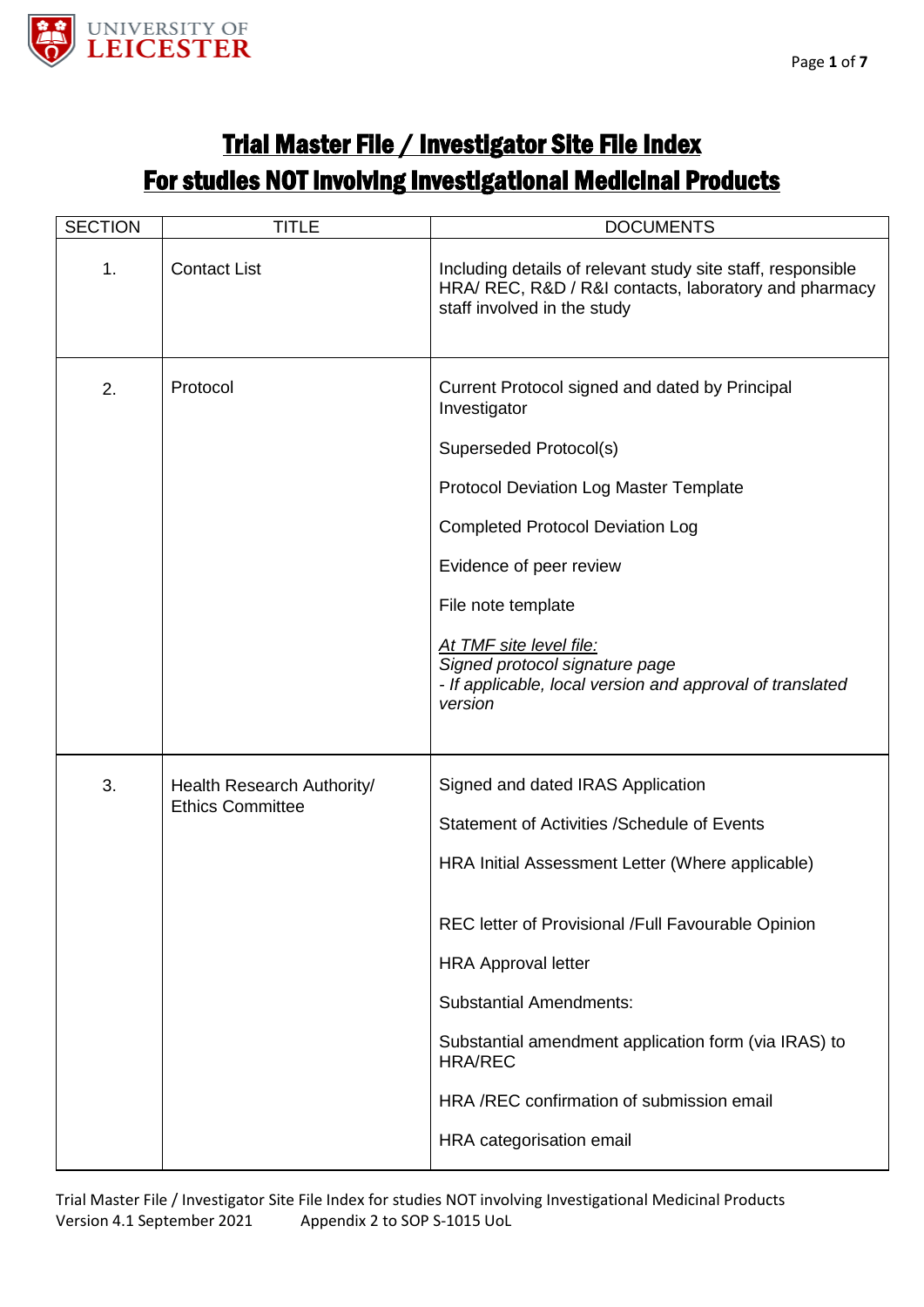

## Trial Master File / Investigator Site File Index For studies NOT involving Investigational Medicinal Products

| <b>SECTION</b>                | <b>TITLE</b>               | <b>DOCUMENTS</b>                                                                                                                                    |
|-------------------------------|----------------------------|-----------------------------------------------------------------------------------------------------------------------------------------------------|
| 1.                            | <b>Contact List</b>        | Including details of relevant study site staff, responsible<br>HRA/ REC, R&D / R&I contacts, laboratory and pharmacy<br>staff involved in the study |
| 2.                            | Protocol                   | Current Protocol signed and dated by Principal<br>Investigator<br>Superseded Protocol(s)                                                            |
|                               |                            | <b>Protocol Deviation Log Master Template</b>                                                                                                       |
|                               |                            |                                                                                                                                                     |
|                               |                            | <b>Completed Protocol Deviation Log</b>                                                                                                             |
|                               |                            | Evidence of peer review                                                                                                                             |
|                               |                            | File note template                                                                                                                                  |
|                               |                            | At TMF site level file:<br>Signed protocol signature page<br>- If applicable, local version and approval of translated<br>version                   |
| 3.<br><b>Ethics Committee</b> | Health Research Authority/ | Signed and dated IRAS Application                                                                                                                   |
|                               |                            | Statement of Activities / Schedule of Events                                                                                                        |
|                               |                            | HRA Initial Assessment Letter (Where applicable)                                                                                                    |
|                               |                            | REC letter of Provisional /Full Favourable Opinion                                                                                                  |
|                               |                            | <b>HRA Approval letter</b>                                                                                                                          |
|                               |                            | <b>Substantial Amendments:</b>                                                                                                                      |
|                               |                            | Substantial amendment application form (via IRAS) to<br><b>HRA/REC</b>                                                                              |
|                               |                            | HRA /REC confirmation of submission email                                                                                                           |
|                               |                            | HRA categorisation email                                                                                                                            |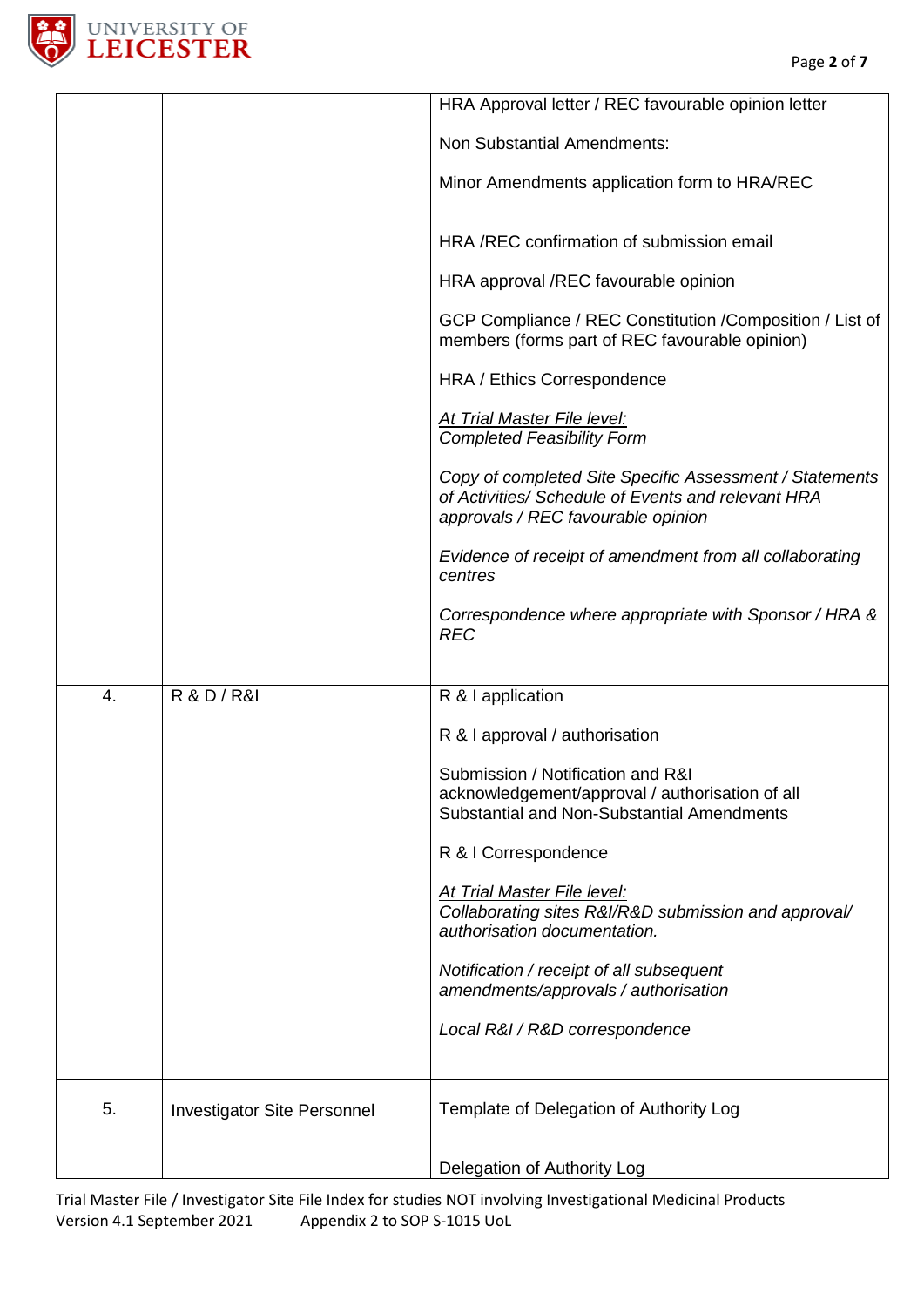

|    |                                    | HRA Approval letter / REC favourable opinion letter                                                                                                 |
|----|------------------------------------|-----------------------------------------------------------------------------------------------------------------------------------------------------|
|    |                                    | <b>Non Substantial Amendments:</b>                                                                                                                  |
|    |                                    | Minor Amendments application form to HRA/REC                                                                                                        |
|    |                                    | HRA /REC confirmation of submission email                                                                                                           |
|    |                                    | HRA approval /REC favourable opinion                                                                                                                |
|    |                                    | GCP Compliance / REC Constitution / Composition / List of<br>members (forms part of REC favourable opinion)                                         |
|    |                                    | HRA / Ethics Correspondence                                                                                                                         |
|    |                                    | <b>At Trial Master File level:</b><br><b>Completed Feasibility Form</b>                                                                             |
|    |                                    | Copy of completed Site Specific Assessment / Statements<br>of Activities/ Schedule of Events and relevant HRA<br>approvals / REC favourable opinion |
|    |                                    | Evidence of receipt of amendment from all collaborating<br>centres                                                                                  |
|    |                                    | Correspondence where appropriate with Sponsor / HRA &<br><b>REC</b>                                                                                 |
|    |                                    |                                                                                                                                                     |
| 4. | <b>R &amp; D / R&amp;I</b>         | R & I application                                                                                                                                   |
|    |                                    | R & I approval / authorisation                                                                                                                      |
|    |                                    | Submission / Notification and R&I<br>acknowledgement/approval / authorisation of all<br>Substantial and Non-Substantial Amendments                  |
|    |                                    | R & I Correspondence                                                                                                                                |
|    |                                    | At Trial Master File level:<br>Collaborating sites R&I/R&D submission and approval/<br>authorisation documentation.                                 |
|    |                                    | Notification / receipt of all subsequent                                                                                                            |
|    |                                    | amendments/approvals / authorisation                                                                                                                |
|    |                                    | Local R&I / R&D correspondence                                                                                                                      |
| 5. | <b>Investigator Site Personnel</b> | Template of Delegation of Authority Log                                                                                                             |
|    |                                    | Delegation of Authority Log                                                                                                                         |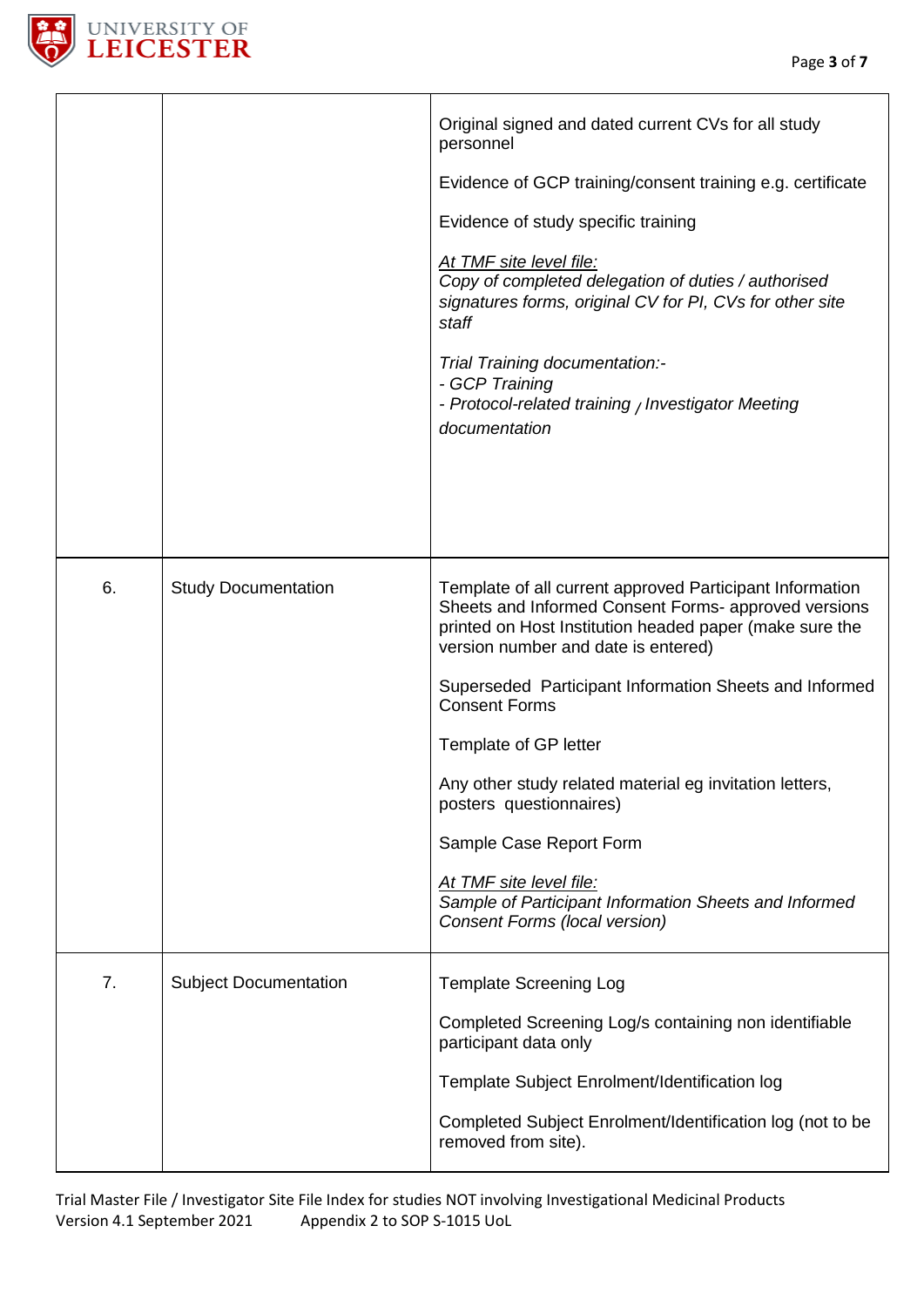

|    |                              | Original signed and dated current CVs for all study<br>personnel<br>Evidence of GCP training/consent training e.g. certificate<br>Evidence of study specific training<br>At TMF site level file:<br>Copy of completed delegation of duties / authorised<br>signatures forms, original CV for PI, CVs for other site<br>staff<br>Trial Training documentation:-<br>- GCP Training<br>- Protocol-related training / Investigator Meeting<br>documentation                                                                                                             |
|----|------------------------------|---------------------------------------------------------------------------------------------------------------------------------------------------------------------------------------------------------------------------------------------------------------------------------------------------------------------------------------------------------------------------------------------------------------------------------------------------------------------------------------------------------------------------------------------------------------------|
| 6. | <b>Study Documentation</b>   | Template of all current approved Participant Information<br>Sheets and Informed Consent Forms- approved versions<br>printed on Host Institution headed paper (make sure the<br>version number and date is entered)<br>Superseded Participant Information Sheets and Informed<br><b>Consent Forms</b><br>Template of GP letter<br>Any other study related material eg invitation letters,<br>posters questionnaires)<br>Sample Case Report Form<br>At TMF site level file:<br>Sample of Participant Information Sheets and Informed<br>Consent Forms (local version) |
| 7. | <b>Subject Documentation</b> | <b>Template Screening Log</b><br>Completed Screening Log/s containing non identifiable<br>participant data only<br>Template Subject Enrolment/Identification log<br>Completed Subject Enrolment/Identification log (not to be<br>removed from site).                                                                                                                                                                                                                                                                                                                |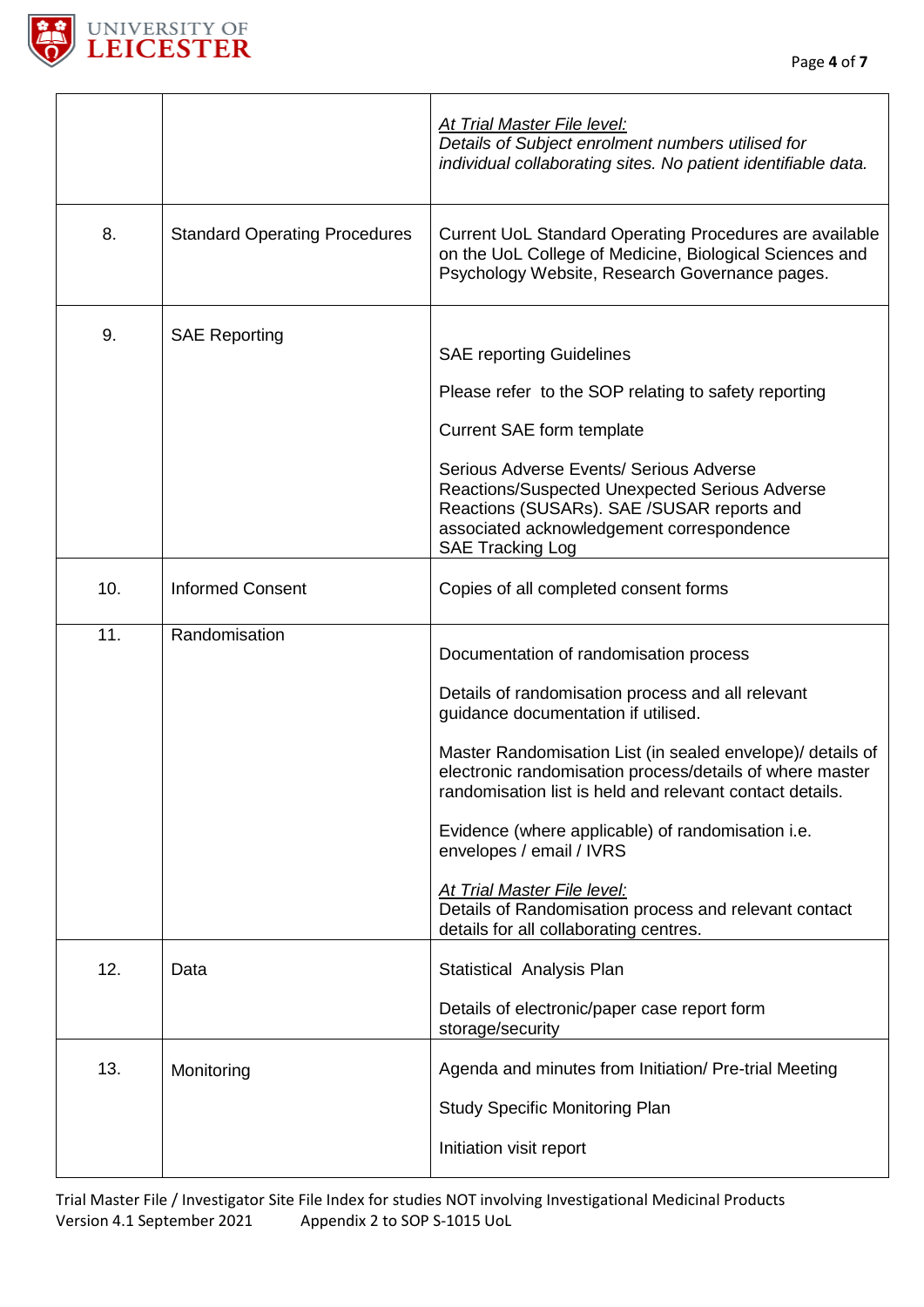

 $\mathsf{r}$ 

٦

|     |                                      | At Trial Master File level:<br>Details of Subject enrolment numbers utilised for<br>individual collaborating sites. No patient identifiable data.                                                                                                                                                                                                                                                                                                                                                                                           |
|-----|--------------------------------------|---------------------------------------------------------------------------------------------------------------------------------------------------------------------------------------------------------------------------------------------------------------------------------------------------------------------------------------------------------------------------------------------------------------------------------------------------------------------------------------------------------------------------------------------|
| 8.  | <b>Standard Operating Procedures</b> | Current UoL Standard Operating Procedures are available<br>on the UoL College of Medicine, Biological Sciences and<br>Psychology Website, Research Governance pages.                                                                                                                                                                                                                                                                                                                                                                        |
| 9.  | <b>SAE Reporting</b>                 | <b>SAE reporting Guidelines</b><br>Please refer to the SOP relating to safety reporting<br><b>Current SAE form template</b><br>Serious Adverse Events/ Serious Adverse<br>Reactions/Suspected Unexpected Serious Adverse<br>Reactions (SUSARs). SAE /SUSAR reports and<br>associated acknowledgement correspondence<br><b>SAE Tracking Log</b>                                                                                                                                                                                              |
| 10. | <b>Informed Consent</b>              | Copies of all completed consent forms                                                                                                                                                                                                                                                                                                                                                                                                                                                                                                       |
| 11. | Randomisation                        | Documentation of randomisation process<br>Details of randomisation process and all relevant<br>guidance documentation if utilised.<br>Master Randomisation List (in sealed envelope)/ details of<br>electronic randomisation process/details of where master<br>randomisation list is held and relevant contact details.<br>Evidence (where applicable) of randomisation i.e.<br>envelopes / email / IVRS<br>At Trial Master File level:<br>Details of Randomisation process and relevant contact<br>details for all collaborating centres. |
| 12. | Data                                 | Statistical Analysis Plan<br>Details of electronic/paper case report form<br>storage/security                                                                                                                                                                                                                                                                                                                                                                                                                                               |
| 13. | Monitoring                           | Agenda and minutes from Initiation/ Pre-trial Meeting<br><b>Study Specific Monitoring Plan</b><br>Initiation visit report                                                                                                                                                                                                                                                                                                                                                                                                                   |

Trial Master File / Investigator Site File Index for studies NOT involving Investigational Medicinal Products Appendix 2 to SOP S-1015 UoL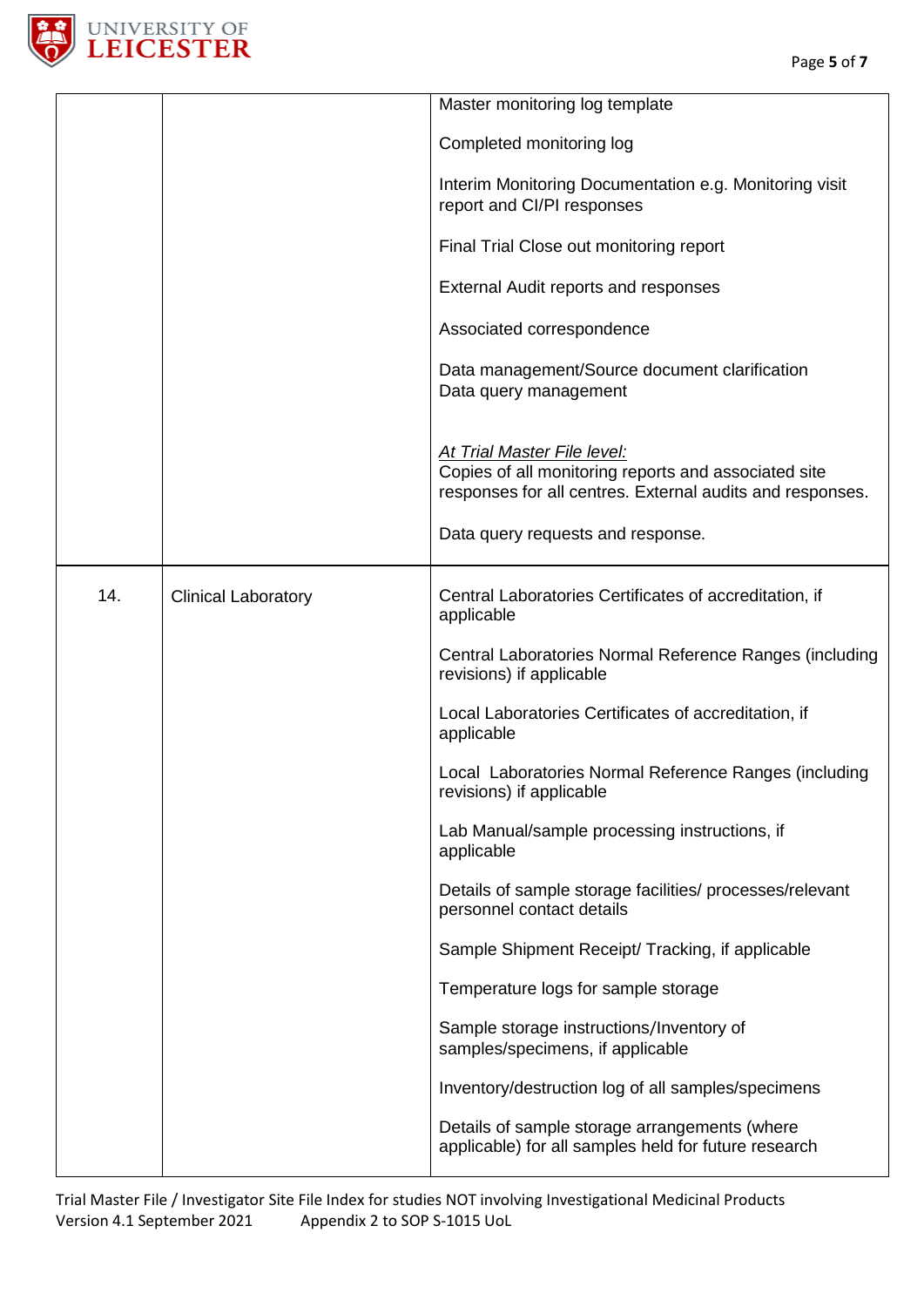

|     |                            | Master monitoring log template                                                                                                                          |
|-----|----------------------------|---------------------------------------------------------------------------------------------------------------------------------------------------------|
|     |                            |                                                                                                                                                         |
|     |                            | Completed monitoring log                                                                                                                                |
|     |                            | Interim Monitoring Documentation e.g. Monitoring visit<br>report and CI/PI responses                                                                    |
|     |                            | Final Trial Close out monitoring report                                                                                                                 |
|     |                            | External Audit reports and responses                                                                                                                    |
|     |                            | Associated correspondence                                                                                                                               |
|     |                            | Data management/Source document clarification<br>Data query management                                                                                  |
|     |                            | <b>At Trial Master File level:</b><br>Copies of all monitoring reports and associated site<br>responses for all centres. External audits and responses. |
|     |                            | Data query requests and response.                                                                                                                       |
| 14. | <b>Clinical Laboratory</b> | Central Laboratories Certificates of accreditation, if<br>applicable                                                                                    |
|     |                            | Central Laboratories Normal Reference Ranges (including<br>revisions) if applicable                                                                     |
|     |                            | Local Laboratories Certificates of accreditation, if<br>applicable                                                                                      |
|     |                            | Local Laboratories Normal Reference Ranges (including<br>revisions) if applicable                                                                       |
|     |                            | Lab Manual/sample processing instructions, if<br>applicable                                                                                             |
|     |                            | Details of sample storage facilities/ processes/relevant<br>personnel contact details                                                                   |
|     |                            | Sample Shipment Receipt/ Tracking, if applicable                                                                                                        |
|     |                            | Temperature logs for sample storage                                                                                                                     |
|     |                            | Sample storage instructions/Inventory of<br>samples/specimens, if applicable                                                                            |
|     |                            | Inventory/destruction log of all samples/specimens                                                                                                      |
|     |                            | Details of sample storage arrangements (where<br>applicable) for all samples held for future research                                                   |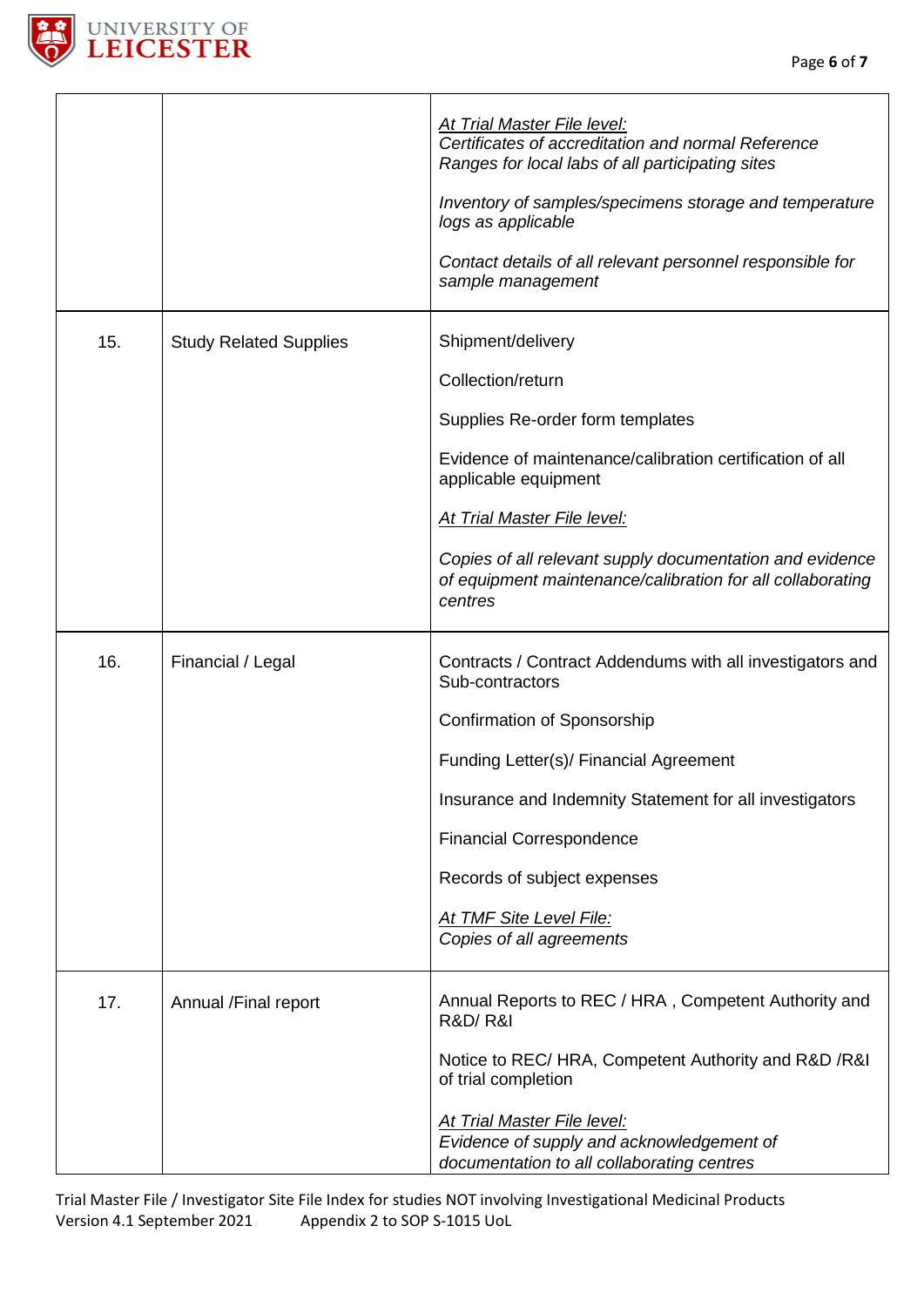

|     |                               | <b>At Trial Master File level:</b><br>Certificates of accreditation and normal Reference<br>Ranges for local labs of all participating sites<br>Inventory of samples/specimens storage and temperature<br>logs as applicable<br>Contact details of all relevant personnel responsible for<br>sample management                            |
|-----|-------------------------------|-------------------------------------------------------------------------------------------------------------------------------------------------------------------------------------------------------------------------------------------------------------------------------------------------------------------------------------------|
| 15. | <b>Study Related Supplies</b> | Shipment/delivery<br>Collection/return<br>Supplies Re-order form templates<br>Evidence of maintenance/calibration certification of all<br>applicable equipment<br>At Trial Master File level:<br>Copies of all relevant supply documentation and evidence<br>of equipment maintenance/calibration for all collaborating<br>centres        |
| 16. | Financial / Legal             | Contracts / Contract Addendums with all investigators and<br>Sub-contractors<br>Confirmation of Sponsorship<br>Funding Letter(s)/ Financial Agreement<br>Insurance and Indemnity Statement for all investigators<br><b>Financial Correspondence</b><br>Records of subject expenses<br>At TMF Site Level File:<br>Copies of all agreements |
| 17. | Annual /Final report          | Annual Reports to REC / HRA, Competent Authority and<br><b>R&amp;D/R&amp;I</b><br>Notice to REC/ HRA, Competent Authority and R&D /R&I<br>of trial completion<br><b>At Trial Master File level:</b><br>Evidence of supply and acknowledgement of<br>documentation to all collaborating centres                                            |